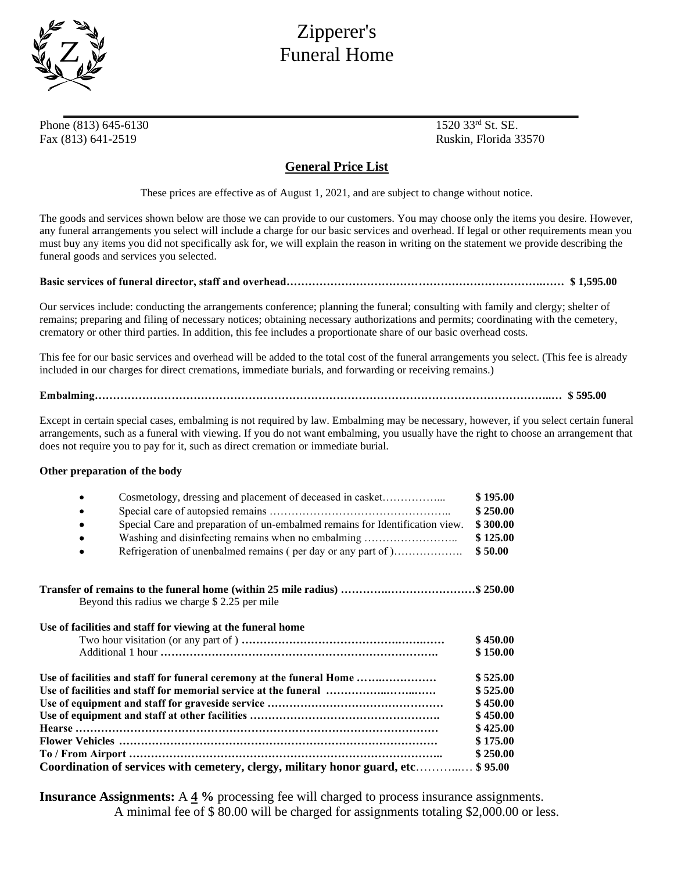

## Zipperer's Funeral Home

Phone (813) 645-6130 1520 33rd St. SE. Fax (813) 641-2519 Ruskin, Florida 33570

## **General Price List**

These prices are effective as of August 1, 2021, and are subject to change without notice.

The goods and services shown below are those we can provide to our customers. You may choose only the items you desire. However, any funeral arrangements you select will include a charge for our basic services and overhead. If legal or other requirements mean you must buy any items you did not specifically ask for, we will explain the reason in writing on the statement we provide describing the funeral goods and services you selected.

## **Basic services of funeral director, staff and overhead…………………………………………………………….…… \$ 1,595.00**

Our services include: conducting the arrangements conference; planning the funeral; consulting with family and clergy; shelter of remains; preparing and filing of necessary notices; obtaining necessary authorizations and permits; coordinating with the cemetery, crematory or other third parties. In addition, this fee includes a proportionate share of our basic overhead costs.

This fee for our basic services and overhead will be added to the total cost of the funeral arrangements you select. (This fee is already included in our charges for direct cremations, immediate burials, and forwarding or receiving remains.)

**Embalming……………………………………………………………………………………………………………..… \$ 595.00**

Except in certain special cases, embalming is not required by law. Embalming may be necessary, however, if you select certain funeral arrangements, such as a funeral with viewing. If you do not want embalming, you usually have the right to choose an arrangement that does not require you to pay for it, such as direct cremation or immediate burial.

## **Other preparation of the body**

|                                                                 | Cosmetology, dressing and placement of deceased in casket                    | \$195.00 |
|-----------------------------------------------------------------|------------------------------------------------------------------------------|----------|
|                                                                 |                                                                              | \$250.00 |
| ٠                                                               | Special Care and preparation of un-embalmed remains for Identification view. | \$300.00 |
| ٠                                                               | Washing and disinfecting remains when no embalming                           | \$125.00 |
| ٠                                                               | Refrigeration of unenbalmed remains (per day or any part of )                | \$50.00  |
|                                                                 |                                                                              |          |
|                                                                 | Beyond this radius we charge \$2.25 per mile                                 |          |
|                                                                 | Use of facilities and staff for viewing at the funeral home                  |          |
|                                                                 |                                                                              | \$450.00 |
|                                                                 |                                                                              | \$150.00 |
|                                                                 | Use of facilities and staff for funeral ceremony at the funeral Home         | \$525.00 |
| Use of facilities and staff for memorial service at the funeral |                                                                              |          |
|                                                                 |                                                                              | \$450.00 |
|                                                                 |                                                                              | \$450.00 |
|                                                                 |                                                                              | \$425.00 |
|                                                                 |                                                                              | \$175.00 |
|                                                                 |                                                                              | \$250.00 |
|                                                                 | Coordination of services with cemetery, clergy, military honor guard, etc    | \$95.00  |
|                                                                 |                                                                              |          |

**Insurance Assignments:** A **4 %** processing fee will charged to process insurance assignments. A minimal fee of \$ 80.00 will be charged for assignments totaling \$2,000.00 or less.